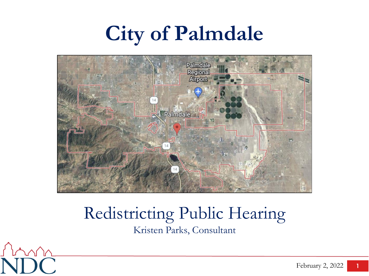# **City of Palmdale**



### Redistricting Public Hearing Kristen Parks, Consultant

 $\sqrt{2}$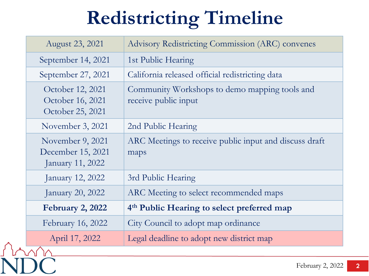# **Redistricting Timeline**

| August 23, 2021                                           | <b>Advisory Redistricting Commission (ARC) convenes</b>               |
|-----------------------------------------------------------|-----------------------------------------------------------------------|
| September 14, 2021                                        | 1st Public Hearing                                                    |
| September 27, 2021                                        | California released official redistricting data                       |
| October 12, 2021<br>October 16, 2021<br>October 25, 2021  | Community Workshops to demo mapping tools and<br>receive public input |
| November 3, 2021                                          | 2nd Public Hearing                                                    |
| November 9, 2021<br>December 15, 2021<br>January 11, 2022 | ARC Meetings to receive public input and discuss draft<br>maps        |
| January 12, 2022                                          | 3rd Public Hearing                                                    |
| January 20, 2022                                          | ARC Meeting to select recommended maps                                |
| <b>February 2, 2022</b>                                   | 4 <sup>th</sup> Public Hearing to select preferred map                |
| February 16, 2022                                         | City Council to adopt map ordinance                                   |
| April 17, 2022                                            | Legal deadline to adopt new district map                              |
|                                                           |                                                                       |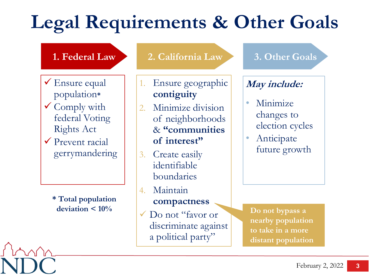## **Legal Requirements & Other Goals**

### **1. Federal Law**

- $\checkmark$  Ensure equal population**\***
- $\checkmark$  Comply with federal Voting Rights Act
- Prevent racial gerrymandering

**\* Total population deviation < 10%**

#### **2. California Law 3. Other Goals**

- 1. Ensure geographic **contiguity**
- Minimize division of neighborhoods & **"communities of interest"**
- 3. Create easily identifiable boundaries
- 4. Maintain

#### **compactness**

Do not "favor or discriminate against a political party"

### **May include:**

- Minimize changes to election cycles
- **Anticipate** future growth

**Do not bypass a nearby population to take in a more distant population**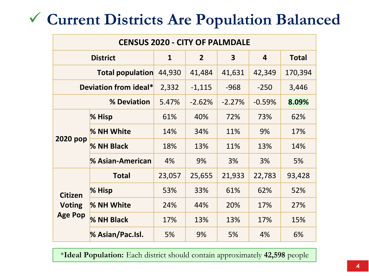### **Current Districts Are Population Balanced**

| <b>CENSUS 2020 - CITY OF PALMDALE</b>             |                  |              |                |                         |                         |              |  |
|---------------------------------------------------|------------------|--------------|----------------|-------------------------|-------------------------|--------------|--|
| <b>District</b>                                   |                  | $\mathbf{1}$ | $\overline{2}$ | $\overline{\mathbf{3}}$ | $\overline{\mathbf{4}}$ | <b>Total</b> |  |
| <b>Total population</b>                           |                  | 44,930       | 41,484         | 41,631                  | 42,349                  | 170,394      |  |
| Deviation from ideal*                             |                  | 2,332        | $-1,115$       | $-968$                  | $-250$                  | 3,446        |  |
| % Deviation                                       |                  | 5.47%        | $-2.62%$       | $-2.27%$                | $-0.59%$                | 8.09%        |  |
| 2020 pop                                          | % Hisp           | 61%          | 40%            | 72%                     | 73%                     | 62%          |  |
|                                                   | % NH White       | 14%          | 34%            | 11%                     | 9%                      | 17%          |  |
|                                                   | % NH Black       | 18%          | 13%            | 11%                     | 13%                     | 14%          |  |
|                                                   | % Asian-American | 4%           | 9%             | 3%                      | 3%                      | 5%           |  |
| <b>Citizen</b><br><b>Voting</b><br><b>Age Pop</b> | <b>Total</b>     | 23,057       | 25,655         | 21,933                  | 22,783                  | 93,428       |  |
|                                                   | % Hisp           | 53%          | 33%            | 61%                     | 62%                     | 52%          |  |
|                                                   | % NH White       | 24%          | 44%            | 20%                     | 17%                     | 27%          |  |
|                                                   | % NH Black       | 17%          | 13%            | 13%                     | 17%                     | 15%          |  |
|                                                   | % Asian/Pac.Isl. | 5%           | 9%             | 5%                      | 4%                      | 6%           |  |

\***Ideal Population:** Each district should contain approximately **42,598** people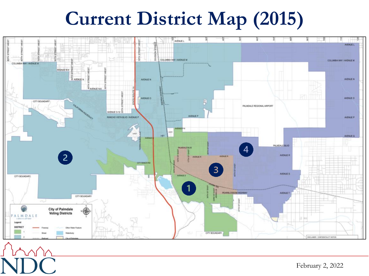### **Current District Map (2015)**



February 2, 2022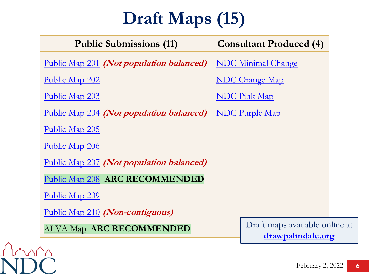### **Draft Maps (15)**

| <b>Public Submissions (11)</b>           | <b>Consultant Produced (4)</b>                     |  |  |
|------------------------------------------|----------------------------------------------------|--|--|
| Public Map 201 (Not population balanced) | <b>NDC Minimal Change</b>                          |  |  |
| Public Map 202                           | <b>NDC Orange Map</b>                              |  |  |
| Public Map 203                           | <b>NDC</b> Pink Map                                |  |  |
| Public Map 204 (Not population balanced) | <b>NDC</b> Purple Map                              |  |  |
| Public Map 205                           |                                                    |  |  |
| Public Map 206                           |                                                    |  |  |
| Public Map 207 (Not population balanced) |                                                    |  |  |
| Public Map 208 ARC RECOMMENDED           |                                                    |  |  |
| Public Map 209                           |                                                    |  |  |
| Public Map 210 (Non-contiguous)          |                                                    |  |  |
| <b>ALVA Map ARC RECOMMENDED</b>          | Draft maps available online at<br>drawpalmdale.org |  |  |

mn